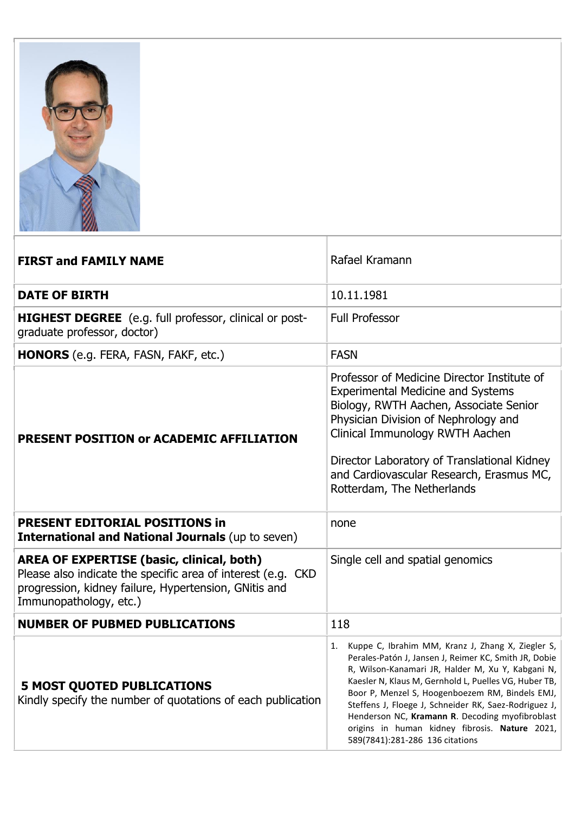

| <b>FIRST and FAMILY NAME</b>                                                                                                                                                                        | Rafael Kramann                                                                                                                                                                                                                                                                                                                                                                                                                                                                     |
|-----------------------------------------------------------------------------------------------------------------------------------------------------------------------------------------------------|------------------------------------------------------------------------------------------------------------------------------------------------------------------------------------------------------------------------------------------------------------------------------------------------------------------------------------------------------------------------------------------------------------------------------------------------------------------------------------|
| <b>DATE OF BIRTH</b>                                                                                                                                                                                | 10.11.1981                                                                                                                                                                                                                                                                                                                                                                                                                                                                         |
| <b>HIGHEST DEGREE</b> (e.g. full professor, clinical or post-<br>graduate professor, doctor)                                                                                                        | <b>Full Professor</b>                                                                                                                                                                                                                                                                                                                                                                                                                                                              |
| <b>HONORS</b> (e.g. FERA, FASN, FAKF, etc.)                                                                                                                                                         | <b>FASN</b>                                                                                                                                                                                                                                                                                                                                                                                                                                                                        |
| PRESENT POSITION or ACADEMIC AFFILIATION                                                                                                                                                            | Professor of Medicine Director Institute of<br><b>Experimental Medicine and Systems</b><br>Biology, RWTH Aachen, Associate Senior<br>Physician Division of Nephrology and<br>Clinical Immunology RWTH Aachen<br>Director Laboratory of Translational Kidney<br>and Cardiovascular Research, Erasmus MC,<br>Rotterdam, The Netherlands                                                                                                                                              |
| <b>PRESENT EDITORIAL POSITIONS in</b><br><b>International and National Journals (up to seven)</b>                                                                                                   | none                                                                                                                                                                                                                                                                                                                                                                                                                                                                               |
| <b>AREA OF EXPERTISE (basic, clinical, both)</b><br>Please also indicate the specific area of interest (e.g. CKD<br>progression, kidney failure, Hypertension, GNitis and<br>Immunopathology, etc.) | Single cell and spatial genomics                                                                                                                                                                                                                                                                                                                                                                                                                                                   |
| <b>NUMBER OF PUBMED PUBLICATIONS</b>                                                                                                                                                                | 118                                                                                                                                                                                                                                                                                                                                                                                                                                                                                |
| <b>5 MOST QUOTED PUBLICATIONS</b><br>Kindly specify the number of quotations of each publication                                                                                                    | Kuppe C, Ibrahim MM, Kranz J, Zhang X, Ziegler S,<br>1.<br>Perales-Patón J, Jansen J, Reimer KC, Smith JR, Dobie<br>R. Wilson-Kanamari JR, Halder M, Xu Y, Kabgani N,<br>Kaesler N, Klaus M, Gernhold L, Puelles VG, Huber TB,<br>Boor P, Menzel S, Hoogenboezem RM, Bindels EMJ,<br>Steffens J, Floege J, Schneider RK, Saez-Rodriguez J,<br>Henderson NC, Kramann R. Decoding myofibroblast<br>origins in human kidney fibrosis. Nature 2021,<br>589(7841):281-286 136 citations |